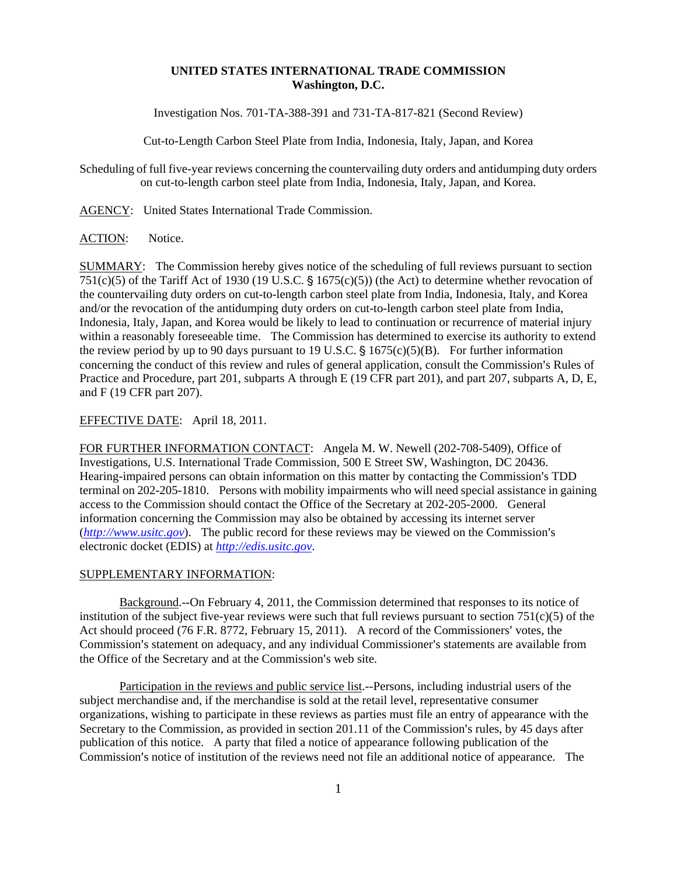## **UNITED STATES INTERNATIONAL TRADE COMMISSION Washington, D.C.**

Investigation Nos. 701-TA-388-391 and 731-TA-817-821 (Second Review)

Cut-to-Length Carbon Steel Plate from India, Indonesia, Italy, Japan, and Korea

Scheduling of full five-year reviews concerning the countervailing duty orders and antidumping duty orders on cut-to-length carbon steel plate from India, Indonesia, Italy, Japan, and Korea.

AGENCY: United States International Trade Commission.

## ACTION: Notice.

SUMMARY: The Commission hereby gives notice of the scheduling of full reviews pursuant to section 751(c)(5) of the Tariff Act of 1930 (19 U.S.C.  $\frac{1}{5}$  1675(c)(5)) (the Act) to determine whether revocation of the countervailing duty orders on cut-to-length carbon steel plate from India, Indonesia, Italy, and Korea and/or the revocation of the antidumping duty orders on cut-to-length carbon steel plate from India, Indonesia, Italy, Japan, and Korea would be likely to lead to continuation or recurrence of material injury within a reasonably foreseeable time. The Commission has determined to exercise its authority to extend the review period by up to 90 days pursuant to 19 U.S.C.  $\S$  1675(c)(5)(B). For further information concerning the conduct of this review and rules of general application, consult the Commission's Rules of Practice and Procedure, part 201, subparts A through E (19 CFR part 201), and part 207, subparts A, D, E, and F (19 CFR part 207).

## EFFECTIVE DATE: April 18, 2011.

FOR FURTHER INFORMATION CONTACT: Angela M. W. Newell (202-708-5409), Office of Investigations, U.S. International Trade Commission, 500 E Street SW, Washington, DC 20436. Hearing-impaired persons can obtain information on this matter by contacting the Commission's TDD terminal on 202-205-1810. Persons with mobility impairments who will need special assistance in gaining access to the Commission should contact the Office of the Secretary at 202-205-2000. General information concerning the Commission may also be obtained by accessing its internet server (*http://www.usitc.gov*). The public record for these reviews may be viewed on the Commission's electronic docket (EDIS) at *http://edis.usitc.gov*.

## SUPPLEMENTARY INFORMATION:

Background.--On February 4, 2011, the Commission determined that responses to its notice of institution of the subject five-year reviews were such that full reviews pursuant to section  $751(c)(5)$  of the Act should proceed (76 F.R. 8772, February 15, 2011). A record of the Commissioners' votes, the Commission's statement on adequacy, and any individual Commissioner's statements are available from the Office of the Secretary and at the Commission's web site.

Participation in the reviews and public service list.--Persons, including industrial users of the subject merchandise and, if the merchandise is sold at the retail level, representative consumer organizations, wishing to participate in these reviews as parties must file an entry of appearance with the Secretary to the Commission, as provided in section  $201.11$  of the Commission's rules, by 45 days after publication of this notice. A party that filed a notice of appearance following publication of the Commission's notice of institution of the reviews need not file an additional notice of appearance. The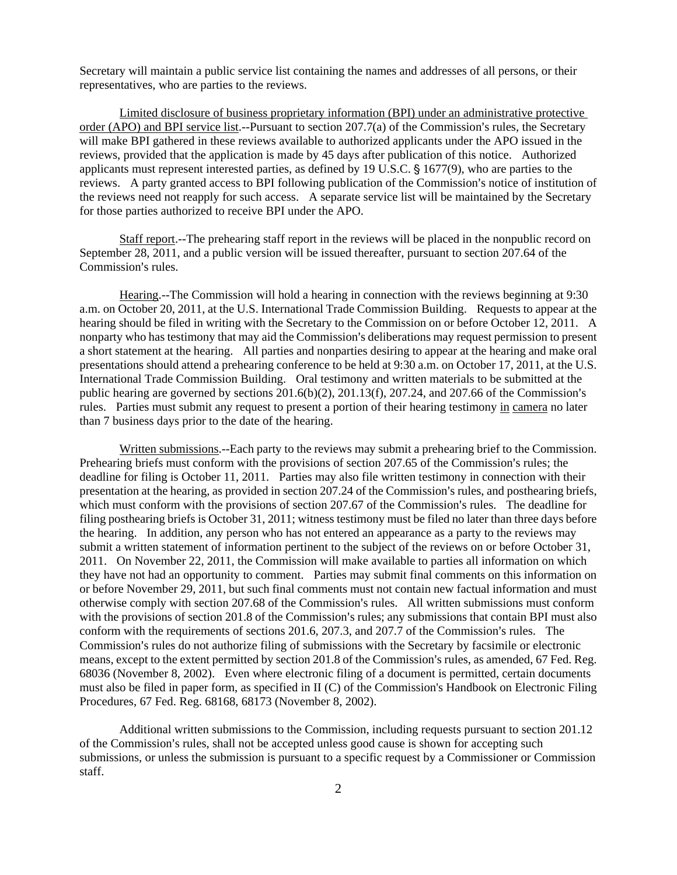Secretary will maintain a public service list containing the names and addresses of all persons, or their representatives, who are parties to the reviews.

Limited disclosure of business proprietary information (BPI) under an administrative protective order (APO) and BPI service list.--Pursuant to section  $207.7(a)$  of the Commission's rules, the Secretary will make BPI gathered in these reviews available to authorized applicants under the APO issued in the reviews, provided that the application is made by 45 days after publication of this notice. Authorized applicants must represent interested parties, as defined by 19 U.S.C.  $\S$  1677(9), who are parties to the reviews. A party granted access to BPI following publication of the Commission's notice of institution of the reviews need not reapply for such access. A separate service list will be maintained by the Secretary for those parties authorized to receive BPI under the APO.

Staff report.--The prehearing staff report in the reviews will be placed in the nonpublic record on September 28, 2011, and a public version will be issued thereafter, pursuant to section 207.64 of the Commission's rules.

Hearing.--The Commission will hold a hearing in connection with the reviews beginning at 9:30 a.m. on October 20, 2011, at the U.S. International Trade Commission Building. Requests to appear at the hearing should be filed in writing with the Secretary to the Commission on or before October 12, 2011. A nonparty who has testimony that may aid the Commission's deliberations may request permission to present a short statement at the hearing. All parties and nonparties desiring to appear at the hearing and make oral presentations should attend a prehearing conference to be held at 9:30 a.m. on October 17, 2011, at the U.S. International Trade Commission Building. Oral testimony and written materials to be submitted at the public hearing are governed by sections  $201.6(b)(2)$ ,  $201.13(f)$ ,  $207.24$ , and  $207.66$  of the Commission's rules. Parties must submit any request to present a portion of their hearing testimony in camera no later than 7 business days prior to the date of the hearing.

Written submissions.--Each party to the reviews may submit a prehearing brief to the Commission. Prehearing briefs must conform with the provisions of section 207.65 of the Commission's rules; the deadline for filing is October 11, 2011. Parties may also file written testimony in connection with their presentation at the hearing, as provided in section 207.24 of the Commission's rules, and posthearing briefs, which must conform with the provisions of section 207.67 of the Commission's rules. The deadline for filing posthearing briefs is October 31, 2011; witness testimony must be filed no later than three days before the hearing. In addition, any person who has not entered an appearance as a party to the reviews may submit a written statement of information pertinent to the subject of the reviews on or before October 31, 2011. On November 22, 2011, the Commission will make available to parties all information on which they have not had an opportunity to comment. Parties may submit final comments on this information on or before November 29, 2011, but such final comments must not contain new factual information and must otherwise comply with section 207.68 of the Commission's rules. All written submissions must conform with the provisions of section 201.8 of the Commission's rules; any submissions that contain BPI must also conform with the requirements of sections 201.6, 207.3, and 207.7 of the Commission's rules. The Commission's rules do not authorize filing of submissions with the Secretary by facsimile or electronic means, except to the extent permitted by section 201.8 of the Commission's rules, as amended, 67 Fed. Reg. 68036 (November 8, 2002). Even where electronic filing of a document is permitted, certain documents must also be filed in paper form, as specified in II (C) of the Commission's Handbook on Electronic Filing Procedures, 67 Fed. Reg. 68168, 68173 (November 8, 2002).

Additional written submissions to the Commission, including requests pursuant to section 201.12 of the Commission's rules, shall not be accepted unless good cause is shown for accepting such submissions, or unless the submission is pursuant to a specific request by a Commissioner or Commission staff.